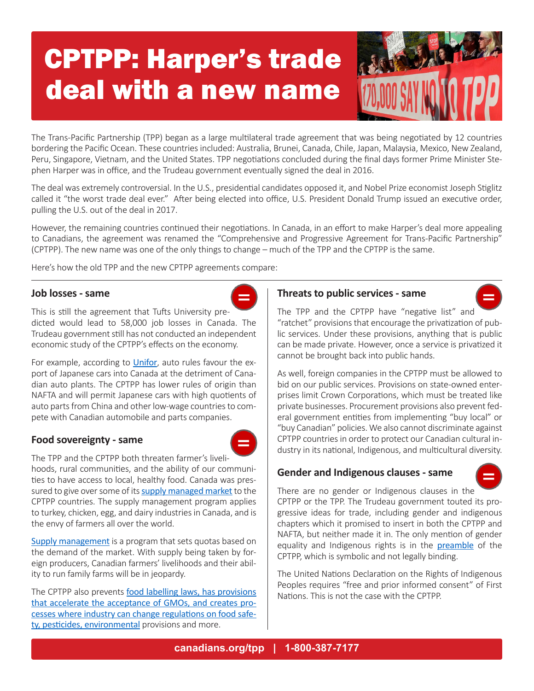# CPTPP: Harper's trade deal with a new name



The Trans-Pacific Partnership (TPP) began as a large multilateral trade agreement that was being negotiated by 12 countries bordering the Pacific Ocean. These countries included: Australia, Brunei, Canada, Chile, Japan, Malaysia, Mexico, New Zealand, Peru, Singapore, Vietnam, and the United States. TPP negotiations concluded during the final days former Prime Minister Stephen Harper was in office, and the Trudeau government eventually signed the deal in 2016.

The deal was extremely controversial. In the U.S., presidential candidates opposed it, and Nobel Prize economist Joseph Stiglitz called it "the worst trade deal ever." After being elected into office, U.S. President Donald Trump issued an executive order, pulling the U.S. out of the deal in 2017.

However, the remaining countries continued their negotiations. In Canada, in an effort to make Harper's deal more appealing to Canadians, the agreement was renamed the "Comprehensive and Progressive Agreement for Trans-Pacific Partnership" (CPTPP). The new name was one of the only things to change – much of the TPP and the CPTPP is the same.

Here's how the old TPP and the new CPTPP agreements compare:

#### **Job losses - same**



For example, according to [Unifor](https://www.unifor.org/sites/default/files/attachments/959-tpp_brief-auto.pdf), auto rules favour the export of Japanese cars into Canada at the detriment of Canadian auto plants. The CPTPP has lower rules of origin than NAFTA and will permit Japanese cars with high quotients of auto parts from China and other low-wage countries to compete with Canadian automobile and parts companies.

## **Food sovereignty - same**



The TPP and the CPTPP both threaten farmer's livelihoods, rural communities, and the ability of our communities to have access to local, healthy food. Canada was pressured to give over some of its [supply managed market](https://ipolitics.ca/2018/01/24/verheul-meets-supply-management-sector-tpp-deal-reached/) to the CPTPP countries. The supply management program applies to turkey, chicken, egg, and dairy industries in Canada, and is the envy of farmers all over the world.

[Supply management](https://canadians.org/factsheet-nafta-farming) is a program that sets quotas based on the demand of the market. With supply being taken by foreign producers, Canadian farmers' livelihoods and their ability to run family farms will be in jeopardy.

The CPTPP also prevents [food labelling laws, has provisions](https://www.citizen.org/sites/default/files/analysis-tpp-text-november-2015.pdf)  [that accelerate the acceptance of GMOs, and creates pro](https://www.citizen.org/sites/default/files/analysis-tpp-text-november-2015.pdf)[cesses where industry can change regulations on food safe](https://www.citizen.org/sites/default/files/analysis-tpp-text-november-2015.pdf)[ty, pesticides, environmental](https://www.citizen.org/sites/default/files/analysis-tpp-text-november-2015.pdf) provisions and more.

## **Threats to public services - same**



The TPP and the CPTPP have "negative list" and "ratchet" provisions that encourage the privatization of public services. Under these provisions, anything that is public can be made private. However, once a service is privatized it cannot be brought back into public hands.

As well, foreign companies in the CPTPP must be allowed to bid on our public services. Provisions on state-owned enterprises limit Crown Corporations, which must be treated like private businesses. Procurement provisions also prevent federal government entities from implementing "buy local" or "buy Canadian" policies. We also cannot discriminate against CPTPP countries in order to protect our Canadian cultural industry in its national, Indigenous, and multicultural diversity.

## **Gender and Indigenous clauses - same**

CPTPP, which is symbolic and not legally binding.



There are no gender or Indigenous clauses in the CPTPP or the TPP. The Trudeau government touted its progressive ideas for trade, including gender and indigenous chapters which it promised to insert in both the CPTPP and NAFTA, but neither made it in. The only mention of gender equality and Indigenous rights is in the **[preamble](http://international.gc.ca/trade-commerce/trade-agreements-accords-commerciaux/agr-acc/cptpp-ptpgp/text-texte/cptpp-ptpgp.aspx?lang=eng)** of the

The United Nations Declaration on the Rights of Indigenous Peoples requires "free and prior informed consent" of First Nations. This is not the case with the CPTPP.